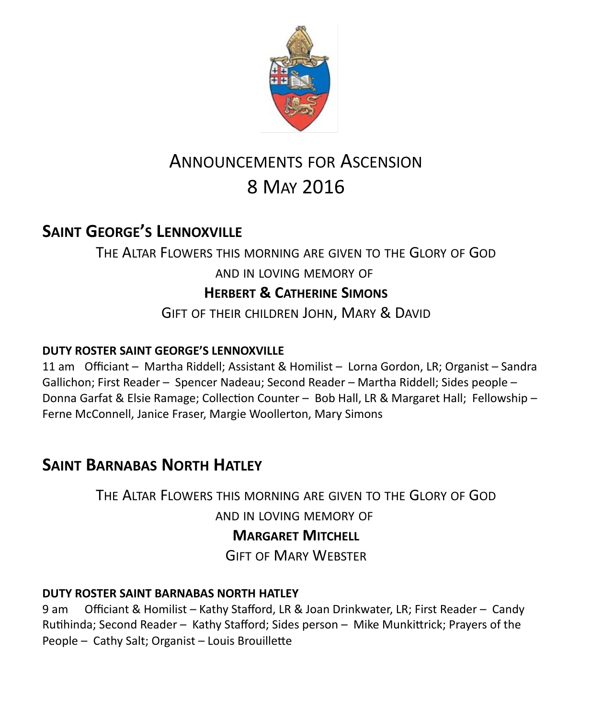

# ANNOUNCEMENTS FOR ASCENSION 8 MAY 2016

## **SAINT GEORGE'S LENNOXVILLE**

THE ALTAR FLOWERS THIS MORNING ARE GIVEN TO THE GLORY OF GOD AND IN LOVING MEMORY OF **HERBERT & CATHERINE SIMONS** GIFT OF THEIR CHILDREN JOHN, MARY & DAVID

### **DUTY ROSTER SAINT GEORGE'S LENNOXVILLE**

11 am Officiant – Martha Riddell; Assistant & Homilist – Lorna Gordon, LR; Organist – Sandra Gallichon; First Reader – Spencer Nadeau; Second Reader – Martha Riddell; Sides people – Donna Garfat & Elsie Ramage; Collection Counter – Bob Hall, LR & Margaret Hall; Fellowship – Ferne McConnell, Janice Fraser, Margie Woollerton, Mary Simons

# **SAINT BARNABAS NORTH HATLEY**

THE ALTAR FLOWERS THIS MORNING ARE GIVEN TO THE GLORY OF GOD AND IN LOVING MEMORY OF **MARGARET MITCHELL**

GIFT OF MARY WEBSTER

### **DUTY ROSTER SAINT BARNABAS NORTH HATLEY**

9 am Officiant & Homilist – Kathy Stafford, LR & Joan Drinkwater, LR; First Reader – Candy Rutihinda; Second Reader – Kathy Stafford; Sides person – Mike Munkittrick; Prayers of the People – Cathy Salt; Organist – Louis Brouillette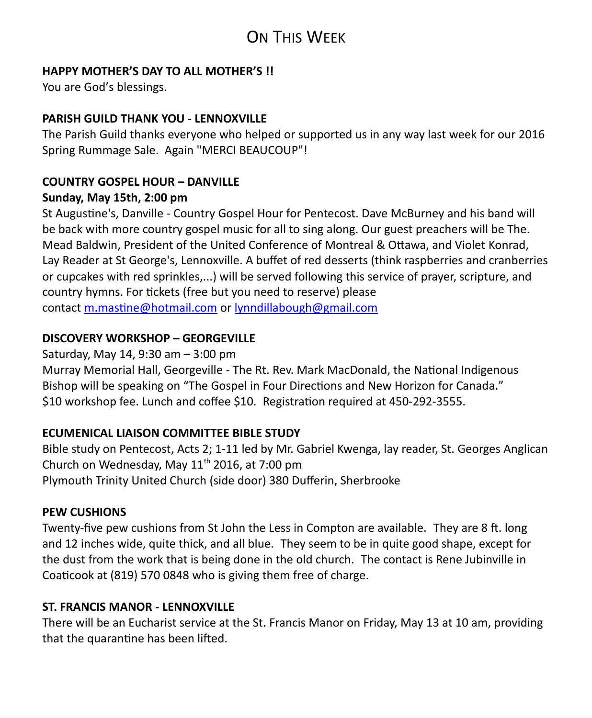# ON THIS WEEK

### **HAPPY MOTHER'S DAY TO ALL MOTHER'S !!**

You are God's blessings.

### **PARISH GUILD THANK YOU - LENNOXVILLE**

The Parish Guild thanks everyone who helped or supported us in any way last week for our 2016 Spring Rummage Sale. Again "MERCI BEAUCOUP"!

# **COUNTRY GOSPEL HOUR – DANVILLE**

### **Sunday, May 15th, 2:00 pm**

St Augustine's, Danville - Country Gospel Hour for Pentecost. Dave McBurney and his band will be back with more country gospel music for all to sing along. Our guest preachers will be The. Mead Baldwin, President of the United Conference of Montreal & Ottawa, and Violet Konrad, Lay Reader at St George's, Lennoxville. A buffet of red desserts (think raspberries and cranberries or cupcakes with red sprinkles,...) will be served following this service of prayer, scripture, and country hymns. For tickets (free but you need to reserve) please contact [m.mastine@hotmail.com](https://webmail.ubishops.ca/owa/redir.aspx?REF=9DAINcR7bV_sxmEbHQm35OQIgdalSWWahuVs1eujmsgPAC083XTTCAFodHRwczovL3dlYm1haWwudWJpc2hvcHMuY2Evb3dhL3JlZGlyLmFzcHg_UkVGPUdIcjJOczh1eXV0ajQyNVBmMFlOT0lmZXhteDFUTnZmenZwV3RqeHJLaFdqbTVXZ0puVFRDQUZ0WVdsc2RHODZiUzV0WVhOMGFXNWxRR2h2ZEcxaGFXd3VZMjl0) or [lynndillabough@gmail.com](https://webmail.ubishops.ca/owa/redir.aspx?REF=TUFy1I5NZkHI1vXN-Qv_sNY_qgBmxX19HucJ3MjncKEPAC083XTTCAFodHRwczovL3dlYm1haWwudWJpc2hvcHMuY2Evb3dhL3JlZGlyLmFzcHg_UkVGPU5UR0haQmRhNGtiUE5lWWZiR1JiNkhnb0Q2OUU0Vm9KYWd1VlhNUlRFbTJqbTVXZ0puVFRDQUZ0WVdsc2RHODZiSGx1Ym1ScGJHeGhZbTkxWjJoQVoyMWhhV3d1WTI5dA..)

### **DISCOVERY WORKSHOP – GEORGEVILLE**

Saturday, May 14, 9:30 am – 3:00 pm Murray Memorial Hall, Georgeville - The Rt. Rev. Mark MacDonald, the National Indigenous Bishop will be speaking on "The Gospel in Four Directions and New Horizon for Canada." \$10 workshop fee. Lunch and coffee \$10. Registration required at 450-292-3555.

### **ECUMENICAL LIAISON COMMITTEE BIBLE STUDY**

Bible study on Pentecost, Acts 2; 1-11 led by Mr. Gabriel Kwenga, lay reader, St. Georges Anglican Church on Wednesday, May  $11<sup>th</sup>$  2016, at 7:00 pm Plymouth Trinity United Church (side door) 380 Dufferin, Sherbrooke

### **PEW CUSHIONS**

Twenty-five pew cushions from St John the Less in Compton are available. They are 8 ft. long and 12 inches wide, quite thick, and all blue. They seem to be in quite good shape, except for the dust from the work that is being done in the old church. The contact is Rene Jubinville in Coaticook at (819) 570 0848 who is giving them free of charge.

### **ST. FRANCIS MANOR - LENNOXVILLE**

There will be an Eucharist service at the St. Francis Manor on Friday, May 13 at 10 am, providing that the quarantine has been lifted.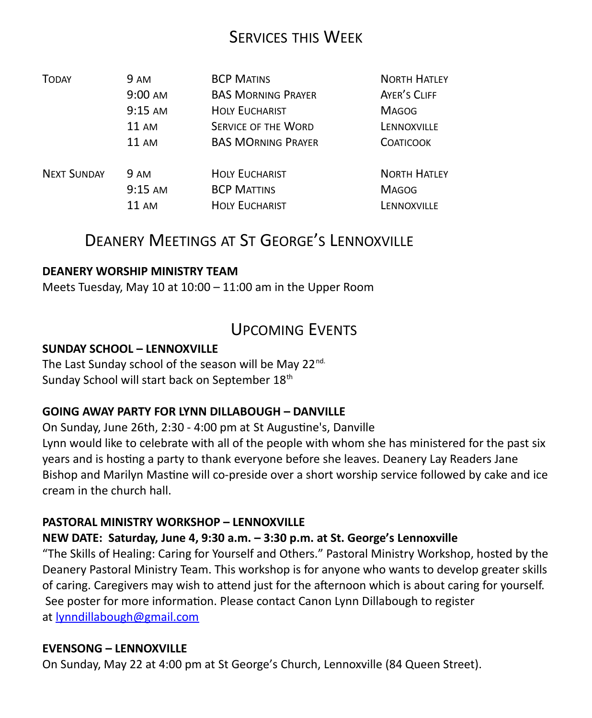### SERVICES THIS WEEK

| <b>TODAY</b>       | 9 AM              | <b>BCP MATINS</b>          | <b>NORTH HATLEY</b> |
|--------------------|-------------------|----------------------------|---------------------|
|                    | 9:00 AM           | <b>BAS MORNING PRAYER</b>  | AYER'S CLIFF        |
|                    | $9:15$ AM         | <b>HOLY EUCHARIST</b>      | <b>MAGOG</b>        |
|                    | $11 \text{ AM}$   | <b>SERVICE OF THE WORD</b> | LENNOXVILLE         |
|                    | $11 \text{ AM}$   | <b>BAS MORNING PRAYER</b>  | <b>COATICOOK</b>    |
| <b>NEXT SUNDAY</b> | 9 AM              | <b>HOLY EUCHARIST</b>      | <b>NORTH HATLEY</b> |
|                    | $9:15 \text{ AM}$ | <b>BCP MATTINS</b>         | <b>MAGOG</b>        |
|                    | $11 \text{ AM}$   | <b>HOLY EUCHARIST</b>      | LENNOXVILLE         |

### DEANERY MEETINGS AT ST GEORGE'S LENNOXVILLE

### **DEANERY WORSHIP MINISTRY TEAM**

Meets Tuesday, May 10 at 10:00 – 11:00 am in the Upper Room

### UPCOMING EVENTS

#### **SUNDAY SCHOOL – LENNOXVILLE**

The Last Sunday school of the season will be May 22<sup>nd.</sup> Sunday School will start back on September 18<sup>th</sup>

### **GOING AWAY PARTY FOR LYNN DILLABOUGH – DANVILLE**

On Sunday, June 26th, 2:30 - 4:00 pm at St Augustine's, Danville Lynn would like to celebrate with all of the people with whom she has ministered for the past six years and is hosting a party to thank everyone before she leaves. Deanery Lay Readers Jane Bishop and Marilyn Mastine will co-preside over a short worship service followed by cake and ice cream in the church hall.

#### **PASTORAL MINISTRY WORKSHOP – LENNOXVILLE**

### **NEW DATE: Saturday, June 4, 9:30 a.m. – 3:30 p.m. at St. George's Lennoxville**

"The Skills of Healing: Caring for Yourself and Others." Pastoral Ministry Workshop, hosted by the Deanery Pastoral Ministry Team. This workshop is for anyone who wants to develop greater skills of caring. Caregivers may wish to attend just for the afternoon which is about caring for yourself. See poster for more information. Please contact Canon Lynn Dillabough to register at [lynndillabough@gmail.com](https://webmail.ubishops.ca/owa/redir.aspx?REF=I6dyd5yngSmYqYpBD3Z6CoI9tDjv3VCrrEZ7iwAWC0jD6P34dFnTCAFodHRwczovL3dlYm1haWwudWJpc2hvcHMuY2Evb3dhL3JlZGlyLmFzcHg_U1VSTD1oZGpZVVQ3V0NVTllxRlppam96a25NSFdKM2FSeTZ2c3FUenJpbHA1Nlp0UDNfMnMtQlhUQ0cwQVlRQnBBR3dBZEFCdkFEb0FiQUI1QUc0QWJnQmtBR2tBYkFCc0FHRUFZZ0J2QUhVQVp3Qm9BRUFBWndCdEFHRUFhUUJzQUM0QVl3QnZBRzBBJlVSTD1tYWlsdG8lM2FseW5uZGlsbGFib3VnaCU0MGdtYWlsLmNvbQ..)

#### **EVENSONG – LENNOXVILLE**

On Sunday, May 22 at 4:00 pm at St George's Church, Lennoxville (84 Queen Street).